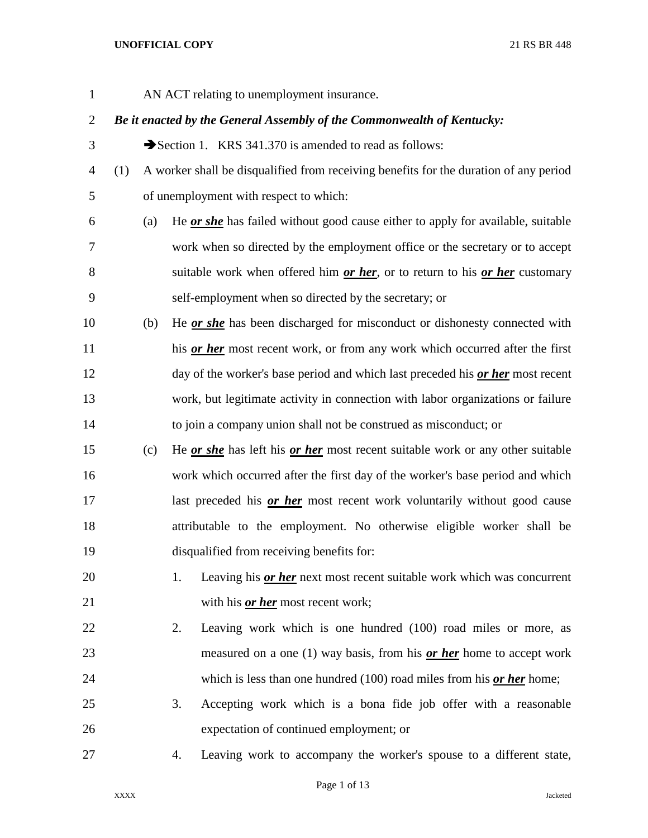| $\mathbf{1}$   |                                                                        |                                                       | AN ACT relating to unemployment insurance.                                             |  |  |  |  |
|----------------|------------------------------------------------------------------------|-------------------------------------------------------|----------------------------------------------------------------------------------------|--|--|--|--|
| $\overline{2}$ | Be it enacted by the General Assembly of the Commonwealth of Kentucky: |                                                       |                                                                                        |  |  |  |  |
| 3              |                                                                        | Section 1. KRS 341.370 is amended to read as follows: |                                                                                        |  |  |  |  |
| $\overline{4}$ | (1)                                                                    |                                                       | A worker shall be disqualified from receiving benefits for the duration of any period  |  |  |  |  |
| 5              |                                                                        |                                                       | of unemployment with respect to which:                                                 |  |  |  |  |
| 6              |                                                                        | (a)                                                   | He <u>or she</u> has failed without good cause either to apply for available, suitable |  |  |  |  |
| 7              |                                                                        |                                                       | work when so directed by the employment office or the secretary or to accept           |  |  |  |  |
| 8              |                                                                        |                                                       | suitable work when offered him or her, or to return to his or her customary            |  |  |  |  |
| 9              |                                                                        |                                                       | self-employment when so directed by the secretary; or                                  |  |  |  |  |
| 10             |                                                                        | (b)                                                   | He or she has been discharged for misconduct or dishonesty connected with              |  |  |  |  |
| 11             |                                                                        |                                                       | his or her most recent work, or from any work which occurred after the first           |  |  |  |  |
| 12             |                                                                        |                                                       | day of the worker's base period and which last preceded his or her most recent         |  |  |  |  |
| 13             |                                                                        |                                                       | work, but legitimate activity in connection with labor organizations or failure        |  |  |  |  |
| 14             |                                                                        |                                                       | to join a company union shall not be construed as misconduct; or                       |  |  |  |  |
| 15             |                                                                        | (c)                                                   | He or she has left his or her most recent suitable work or any other suitable          |  |  |  |  |
| 16             |                                                                        |                                                       | work which occurred after the first day of the worker's base period and which          |  |  |  |  |
| 17             |                                                                        |                                                       | last preceded his or her most recent work voluntarily without good cause               |  |  |  |  |
| 18             |                                                                        |                                                       | attributable to the employment. No otherwise eligible worker shall be                  |  |  |  |  |
| 19             |                                                                        |                                                       | disqualified from receiving benefits for:                                              |  |  |  |  |
| 20             |                                                                        |                                                       | 1.<br>Leaving his <b>or her</b> next most recent suitable work which was concurrent    |  |  |  |  |
| 21             |                                                                        |                                                       | with his <b>or her</b> most recent work;                                               |  |  |  |  |
| 22             |                                                                        |                                                       | Leaving work which is one hundred (100) road miles or more, as<br>2.                   |  |  |  |  |
| 23             |                                                                        |                                                       | measured on a one $(1)$ way basis, from his <i>or her</i> home to accept work          |  |  |  |  |
| 24             |                                                                        |                                                       | which is less than one hundred $(100)$ road miles from his <i>or her</i> home;         |  |  |  |  |
| 25             |                                                                        |                                                       | Accepting work which is a bona fide job offer with a reasonable<br>3.                  |  |  |  |  |
| 26             |                                                                        |                                                       | expectation of continued employment; or                                                |  |  |  |  |
| 27             |                                                                        |                                                       | Leaving work to accompany the worker's spouse to a different state,<br>4.              |  |  |  |  |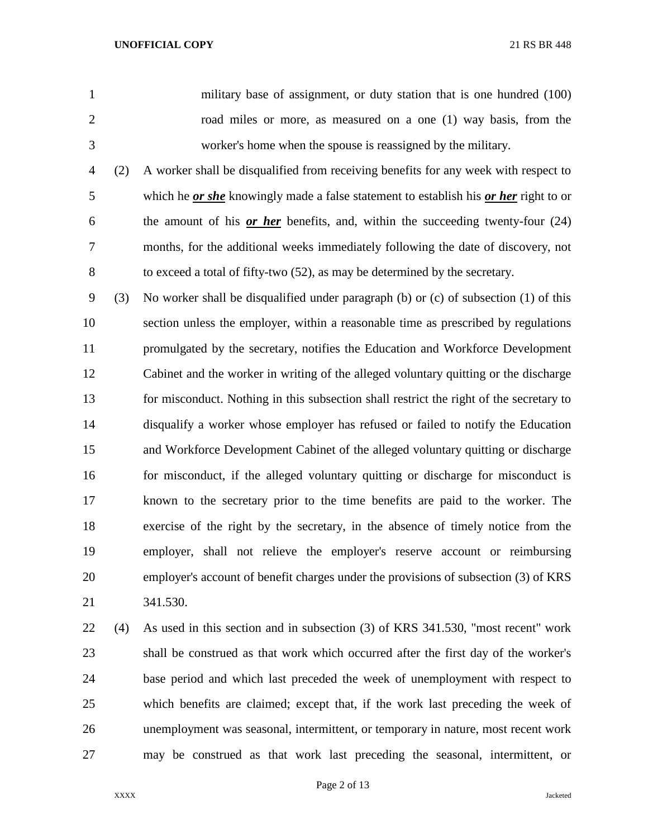military base of assignment, or duty station that is one hundred (100) road miles or more, as measured on a one (1) way basis, from the worker's home when the spouse is reassigned by the military.

 (2) A worker shall be disqualified from receiving benefits for any week with respect to which he *or she* knowingly made a false statement to establish his *or her* right to or the amount of his *or her* benefits, and, within the succeeding twenty-four (24) months, for the additional weeks immediately following the date of discovery, not to exceed a total of fifty-two (52), as may be determined by the secretary.

 (3) No worker shall be disqualified under paragraph (b) or (c) of subsection (1) of this section unless the employer, within a reasonable time as prescribed by regulations promulgated by the secretary, notifies the Education and Workforce Development Cabinet and the worker in writing of the alleged voluntary quitting or the discharge for misconduct. Nothing in this subsection shall restrict the right of the secretary to disqualify a worker whose employer has refused or failed to notify the Education and Workforce Development Cabinet of the alleged voluntary quitting or discharge 16 for misconduct, if the alleged voluntary quitting or discharge for misconduct is known to the secretary prior to the time benefits are paid to the worker. The exercise of the right by the secretary, in the absence of timely notice from the employer, shall not relieve the employer's reserve account or reimbursing employer's account of benefit charges under the provisions of subsection (3) of KRS 341.530.

 (4) As used in this section and in subsection (3) of KRS 341.530, "most recent" work shall be construed as that work which occurred after the first day of the worker's base period and which last preceded the week of unemployment with respect to which benefits are claimed; except that, if the work last preceding the week of unemployment was seasonal, intermittent, or temporary in nature, most recent work may be construed as that work last preceding the seasonal, intermittent, or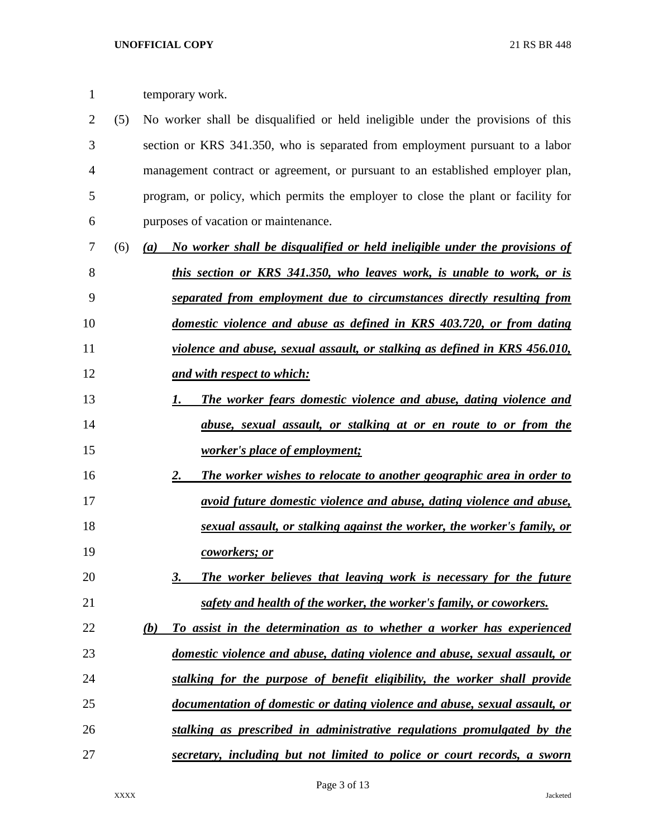| 1  |     | temporary work.                                                                     |
|----|-----|-------------------------------------------------------------------------------------|
| 2  | (5) | No worker shall be disqualified or held ineligible under the provisions of this     |
| 3  |     | section or KRS 341.350, who is separated from employment pursuant to a labor        |
| 4  |     | management contract or agreement, or pursuant to an established employer plan,      |
| 5  |     | program, or policy, which permits the employer to close the plant or facility for   |
| 6  |     | purposes of vacation or maintenance.                                                |
| 7  | (6) | No worker shall be disqualified or held ineligible under the provisions of<br>(a)   |
| 8  |     | this section or KRS 341.350, who leaves work, is unable to work, or is              |
| 9  |     | separated from employment due to circumstances directly resulting from              |
| 10 |     | domestic violence and abuse as defined in KRS 403.720, or from dating               |
| 11 |     | violence and abuse, sexual assault, or stalking as defined in KRS 456.010,          |
| 12 |     | <u>and with respect to which:</u>                                                   |
| 13 |     | The worker fears domestic violence and abuse, dating violence and<br>1.             |
| 14 |     | abuse, sexual assault, or stalking at or en route to or from the                    |
| 15 |     | <u>worker's place of employment;</u>                                                |
| 16 |     | The worker wishes to relocate to another geographic area in order to<br>2.          |
| 17 |     | <u>avoid future domestic violence and abuse, dating violence and abuse,</u>         |
| 18 |     | sexual assault, or stalking against the worker, the worker's family, or             |
| 19 |     | coworkers; or                                                                       |
| 20 |     | The worker believes that leaving work is necessary for the future<br>3.             |
| 21 |     | safety and health of the worker, the worker's family, or coworkers.                 |
| 22 |     | To assist in the determination as to whether a worker has experienced<br><u>(b)</u> |
| 23 |     | domestic violence and abuse, dating violence and abuse, sexual assault, or          |

 *stalking as prescribed in administrative regulations promulgated by the secretary, including but not limited to police or court records, a sworn*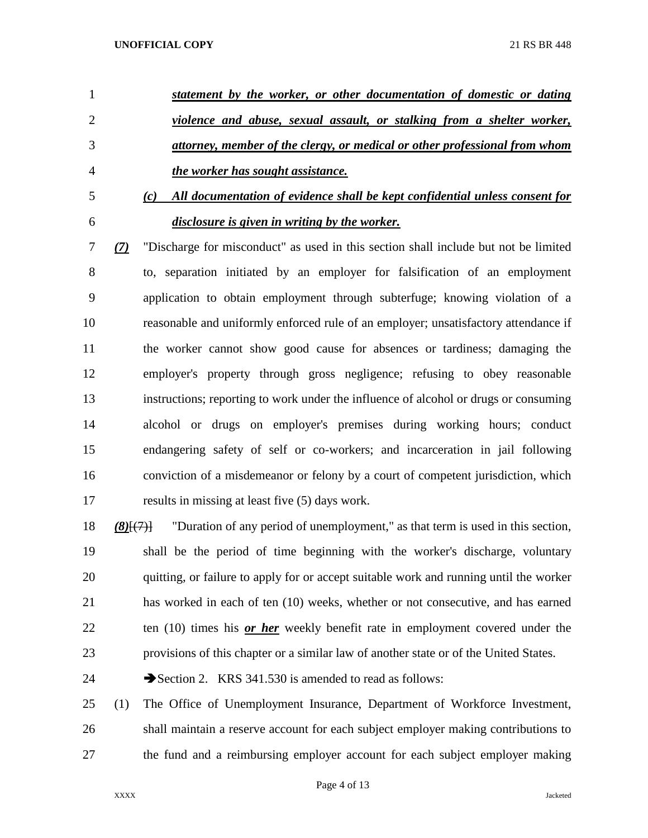- *statement by the worker, or other documentation of domestic or dating violence and abuse, sexual assault, or stalking from a shelter worker, attorney, member of the clergy, or medical or other professional from whom the worker has sought assistance.*
- *(c) All documentation of evidence shall be kept confidential unless consent for disclosure is given in writing by the worker.*
- *(7)* "Discharge for misconduct" as used in this section shall include but not be limited to, separation initiated by an employer for falsification of an employment application to obtain employment through subterfuge; knowing violation of a reasonable and uniformly enforced rule of an employer; unsatisfactory attendance if the worker cannot show good cause for absences or tardiness; damaging the employer's property through gross negligence; refusing to obey reasonable instructions; reporting to work under the influence of alcohol or drugs or consuming alcohol or drugs on employer's premises during working hours; conduct endangering safety of self or co-workers; and incarceration in jail following conviction of a misdemeanor or felony by a court of competent jurisdiction, which results in missing at least five (5) days work.
- *(8)*[(7)] "Duration of any period of unemployment," as that term is used in this section, shall be the period of time beginning with the worker's discharge, voluntary quitting, or failure to apply for or accept suitable work and running until the worker has worked in each of ten (10) weeks, whether or not consecutive, and has earned ten (10) times his *or her* weekly benefit rate in employment covered under the provisions of this chapter or a similar law of another state or of the United States.
- 24 Section 2. KRS 341.530 is amended to read as follows:
- (1) The Office of Unemployment Insurance, Department of Workforce Investment, shall maintain a reserve account for each subject employer making contributions to the fund and a reimbursing employer account for each subject employer making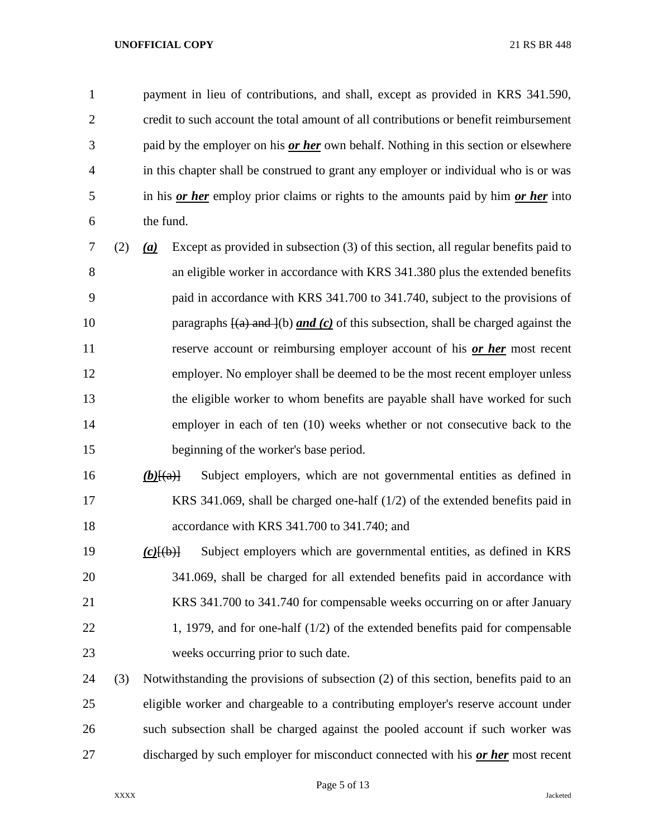payment in lieu of contributions, and shall, except as provided in KRS 341.590, credit to such account the total amount of all contributions or benefit reimbursement paid by the employer on his *or her* own behalf. Nothing in this section or elsewhere in this chapter shall be construed to grant any employer or individual who is or was in his *or her* employ prior claims or rights to the amounts paid by him *or her* into the fund.

- (2) *(a)* Except as provided in subsection (3) of this section, all regular benefits paid to an eligible worker in accordance with KRS 341.380 plus the extended benefits paid in accordance with KRS 341.700 to 341.740, subject to the provisions of 10 paragraphs  $\frac{1}{a}$  and  $\frac{1}{b}$  *and (c)* of this subsection, shall be charged against the reserve account or reimbursing employer account of his *or her* most recent employer. No employer shall be deemed to be the most recent employer unless the eligible worker to whom benefits are payable shall have worked for such employer in each of ten (10) weeks whether or not consecutive back to the beginning of the worker's base period.
- *(b)* $\left\{\left(\frac{a}{b}\right)\right\}$  Subject employers, which are not governmental entities as defined in KRS 341.069, shall be charged one-half (1/2) of the extended benefits paid in accordance with KRS 341.700 to 341.740; and
- *(c)*[(b)] Subject employers which are governmental entities, as defined in KRS 341.069, shall be charged for all extended benefits paid in accordance with KRS 341.700 to 341.740 for compensable weeks occurring on or after January 22 1, 1979, and for one-half (1/2) of the extended benefits paid for compensable weeks occurring prior to such date.
- (3) Notwithstanding the provisions of subsection (2) of this section, benefits paid to an eligible worker and chargeable to a contributing employer's reserve account under such subsection shall be charged against the pooled account if such worker was discharged by such employer for misconduct connected with his *or her* most recent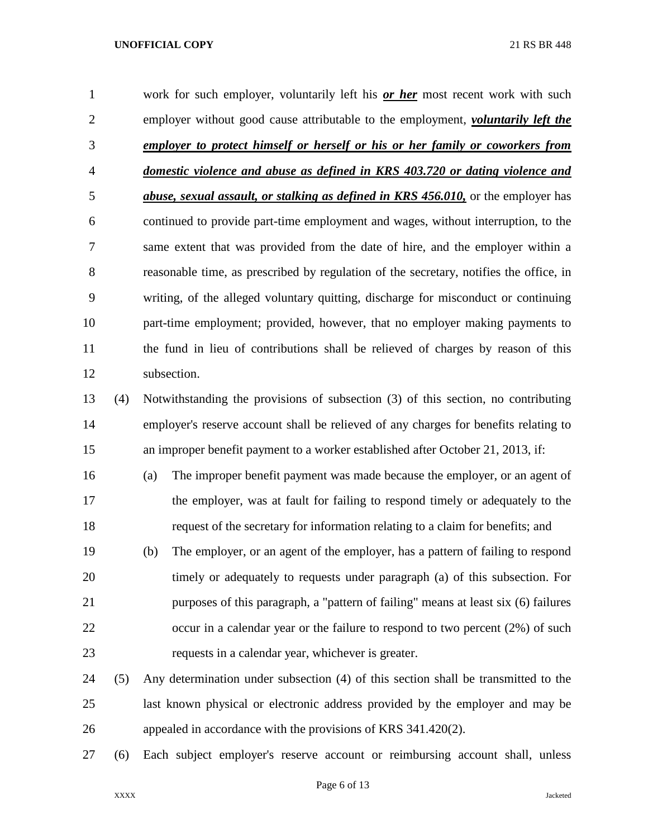| $\mathbf{1}$   |     | work for such employer, voluntarily left his <b>or her</b> most recent work with such   |  |  |  |  |
|----------------|-----|-----------------------------------------------------------------------------------------|--|--|--|--|
| $\overline{2}$ |     | employer without good cause attributable to the employment, <i>voluntarily left the</i> |  |  |  |  |
| 3              |     | employer to protect himself or herself or his or her family or coworkers from           |  |  |  |  |
| $\overline{4}$ |     | domestic violence and abuse as defined in KRS 403.720 or dating violence and            |  |  |  |  |
| 5              |     | abuse, sexual assault, or stalking as defined in KRS 456.010, or the employer has       |  |  |  |  |
| 6              |     | continued to provide part-time employment and wages, without interruption, to the       |  |  |  |  |
| $\tau$         |     | same extent that was provided from the date of hire, and the employer within a          |  |  |  |  |
| $8\,$          |     | reasonable time, as prescribed by regulation of the secretary, notifies the office, in  |  |  |  |  |
| 9              |     | writing, of the alleged voluntary quitting, discharge for misconduct or continuing      |  |  |  |  |
| 10             |     | part-time employment; provided, however, that no employer making payments to            |  |  |  |  |
| 11             |     | the fund in lieu of contributions shall be relieved of charges by reason of this        |  |  |  |  |
| 12             |     | subsection.                                                                             |  |  |  |  |
| 13             | (4) | Notwithstanding the provisions of subsection (3) of this section, no contributing       |  |  |  |  |
| 14             |     | employer's reserve account shall be relieved of any charges for benefits relating to    |  |  |  |  |
| 15             |     | an improper benefit payment to a worker established after October 21, 2013, if:         |  |  |  |  |
| 16             |     | The improper benefit payment was made because the employer, or an agent of<br>(a)       |  |  |  |  |
| 17             |     | the employer, was at fault for failing to respond timely or adequately to the           |  |  |  |  |
| 18             |     | request of the secretary for information relating to a claim for benefits; and          |  |  |  |  |
| 19             |     | The employer, or an agent of the employer, has a pattern of failing to respond<br>(b)   |  |  |  |  |
| 20             |     | timely or adequately to requests under paragraph (a) of this subsection. For            |  |  |  |  |
| 21             |     | purposes of this paragraph, a "pattern of failing" means at least six (6) failures      |  |  |  |  |
| 22             |     | occur in a calendar year or the failure to respond to two percent $(2%)$ of such        |  |  |  |  |
| 23             |     | requests in a calendar year, whichever is greater.                                      |  |  |  |  |
| 24             | (5) | Any determination under subsection (4) of this section shall be transmitted to the      |  |  |  |  |
| 25             |     | last known physical or electronic address provided by the employer and may be           |  |  |  |  |
| 26             |     | appealed in accordance with the provisions of KRS 341.420(2).                           |  |  |  |  |

(6) Each subject employer's reserve account or reimbursing account shall, unless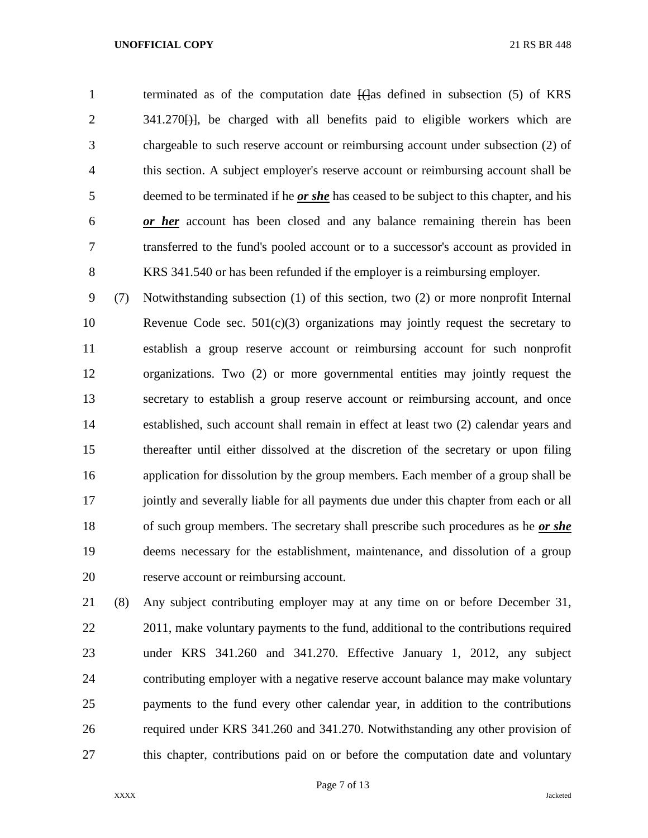1 terminated as of the computation date  $\frac{1}{4}$ as defined in subsection (5) of KRS 2 341.270<del>[)]</del>, be charged with all benefits paid to eligible workers which are chargeable to such reserve account or reimbursing account under subsection (2) of this section. A subject employer's reserve account or reimbursing account shall be deemed to be terminated if he *or she* has ceased to be subject to this chapter, and his *or her* account has been closed and any balance remaining therein has been transferred to the fund's pooled account or to a successor's account as provided in KRS 341.540 or has been refunded if the employer is a reimbursing employer.

 (7) Notwithstanding subsection (1) of this section, two (2) or more nonprofit Internal Revenue Code sec. 501(c)(3) organizations may jointly request the secretary to establish a group reserve account or reimbursing account for such nonprofit organizations. Two (2) or more governmental entities may jointly request the secretary to establish a group reserve account or reimbursing account, and once established, such account shall remain in effect at least two (2) calendar years and thereafter until either dissolved at the discretion of the secretary or upon filing application for dissolution by the group members. Each member of a group shall be 17 iointly and severally liable for all payments due under this chapter from each or all of such group members. The secretary shall prescribe such procedures as he *or she* deems necessary for the establishment, maintenance, and dissolution of a group reserve account or reimbursing account.

 (8) Any subject contributing employer may at any time on or before December 31, 22 2011, make voluntary payments to the fund, additional to the contributions required under KRS 341.260 and 341.270. Effective January 1, 2012, any subject contributing employer with a negative reserve account balance may make voluntary payments to the fund every other calendar year, in addition to the contributions required under KRS 341.260 and 341.270. Notwithstanding any other provision of this chapter, contributions paid on or before the computation date and voluntary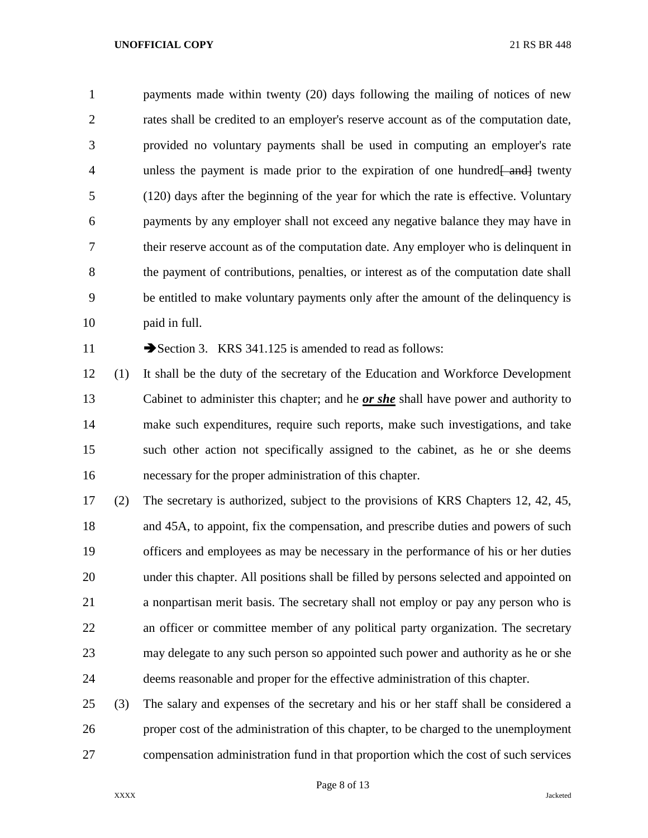payments made within twenty (20) days following the mailing of notices of new rates shall be credited to an employer's reserve account as of the computation date, provided no voluntary payments shall be used in computing an employer's rate 4 unless the payment is made prior to the expiration of one hundred  $\text{H}\text{-}$  and twenty (120) days after the beginning of the year for which the rate is effective. Voluntary payments by any employer shall not exceed any negative balance they may have in their reserve account as of the computation date. Any employer who is delinquent in 8 the payment of contributions, penalties, or interest as of the computation date shall be entitled to make voluntary payments only after the amount of the delinquency is paid in full.

11 Section 3. KRS 341.125 is amended to read as follows:

 (1) It shall be the duty of the secretary of the Education and Workforce Development Cabinet to administer this chapter; and he *or she* shall have power and authority to make such expenditures, require such reports, make such investigations, and take such other action not specifically assigned to the cabinet, as he or she deems necessary for the proper administration of this chapter.

 (2) The secretary is authorized, subject to the provisions of KRS Chapters 12, 42, 45, and 45A, to appoint, fix the compensation, and prescribe duties and powers of such officers and employees as may be necessary in the performance of his or her duties under this chapter. All positions shall be filled by persons selected and appointed on a nonpartisan merit basis. The secretary shall not employ or pay any person who is an officer or committee member of any political party organization. The secretary may delegate to any such person so appointed such power and authority as he or she deems reasonable and proper for the effective administration of this chapter.

 (3) The salary and expenses of the secretary and his or her staff shall be considered a proper cost of the administration of this chapter, to be charged to the unemployment compensation administration fund in that proportion which the cost of such services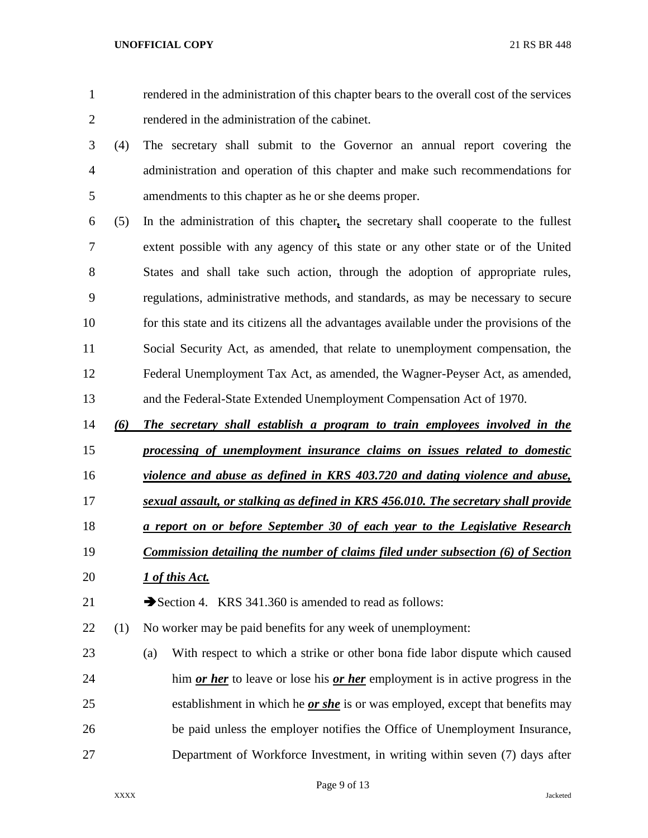rendered in the administration of this chapter bears to the overall cost of the services rendered in the administration of the cabinet.

- (4) The secretary shall submit to the Governor an annual report covering the administration and operation of this chapter and make such recommendations for amendments to this chapter as he or she deems proper.
- (5) In the administration of this chapter*,* the secretary shall cooperate to the fullest extent possible with any agency of this state or any other state or of the United States and shall take such action, through the adoption of appropriate rules, regulations, administrative methods, and standards, as may be necessary to secure for this state and its citizens all the advantages available under the provisions of the Social Security Act, as amended, that relate to unemployment compensation, the Federal Unemployment Tax Act, as amended, the Wagner-Peyser Act, as amended, and the Federal-State Extended Unemployment Compensation Act of 1970.
- *(6) The secretary shall establish a program to train employees involved in the*
- *processing of unemployment insurance claims on issues related to domestic*
- *violence and abuse as defined in KRS 403.720 and dating violence and abuse,*
- *sexual assault, or stalking as defined in KRS 456.010. The secretary shall provide*
- *a report on or before September 30 of each year to the Legislative Research*
- *Commission detailing the number of claims filed under subsection (6) of Section*
- *1 of this Act.*
- 21 Section 4. KRS 341.360 is amended to read as follows:
- (1) No worker may be paid benefits for any week of unemployment:
- (a) With respect to which a strike or other bona fide labor dispute which caused him *or her* to leave or lose his *or her* employment is in active progress in the establishment in which he *or she* is or was employed, except that benefits may be paid unless the employer notifies the Office of Unemployment Insurance, Department of Workforce Investment, in writing within seven (7) days after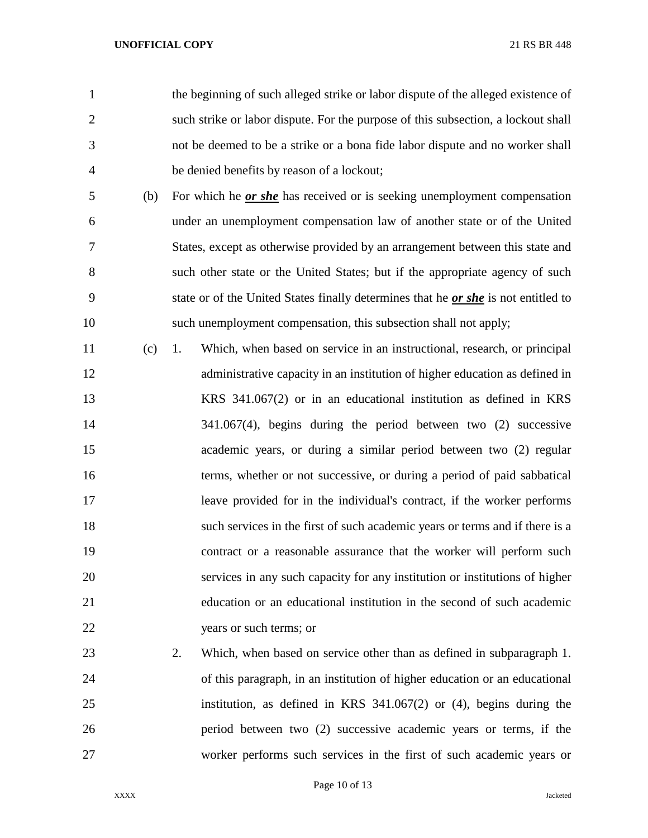the beginning of such alleged strike or labor dispute of the alleged existence of such strike or labor dispute. For the purpose of this subsection, a lockout shall not be deemed to be a strike or a bona fide labor dispute and no worker shall be denied benefits by reason of a lockout;

- (b) For which he *or she* has received or is seeking unemployment compensation under an unemployment compensation law of another state or of the United States, except as otherwise provided by an arrangement between this state and such other state or the United States; but if the appropriate agency of such state or of the United States finally determines that he *or she* is not entitled to such unemployment compensation, this subsection shall not apply;
- (c) 1. Which, when based on service in an instructional, research, or principal administrative capacity in an institution of higher education as defined in KRS 341.067(2) or in an educational institution as defined in KRS 341.067(4), begins during the period between two (2) successive academic years, or during a similar period between two (2) regular terms, whether or not successive, or during a period of paid sabbatical leave provided for in the individual's contract, if the worker performs such services in the first of such academic years or terms and if there is a contract or a reasonable assurance that the worker will perform such services in any such capacity for any institution or institutions of higher education or an educational institution in the second of such academic years or such terms; or
- 2. Which, when based on service other than as defined in subparagraph 1. of this paragraph, in an institution of higher education or an educational institution, as defined in KRS 341.067(2) or (4), begins during the period between two (2) successive academic years or terms, if the worker performs such services in the first of such academic years or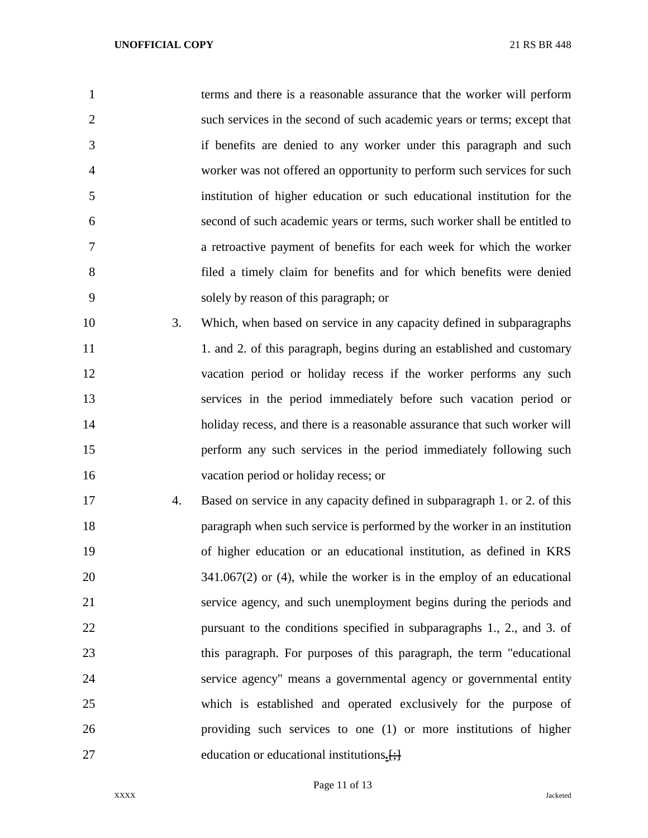| $\mathbf{1}$   |    | terms and there is a reasonable assurance that the worker will perform    |
|----------------|----|---------------------------------------------------------------------------|
| $\overline{2}$ |    | such services in the second of such academic years or terms; except that  |
| 3              |    | if benefits are denied to any worker under this paragraph and such        |
| $\overline{4}$ |    | worker was not offered an opportunity to perform such services for such   |
| 5              |    | institution of higher education or such educational institution for the   |
| 6              |    | second of such academic years or terms, such worker shall be entitled to  |
| 7              |    | a retroactive payment of benefits for each week for which the worker      |
| 8              |    | filed a timely claim for benefits and for which benefits were denied      |
| 9              |    | solely by reason of this paragraph; or                                    |
| 10             | 3. | Which, when based on service in any capacity defined in subparagraphs     |
| 11             |    | 1. and 2. of this paragraph, begins during an established and customary   |
| 12             |    | vacation period or holiday recess if the worker performs any such         |
| 13             |    | services in the period immediately before such vacation period or         |
| 14             |    | holiday recess, and there is a reasonable assurance that such worker will |
| 15             |    | perform any such services in the period immediately following such        |
| 16             |    | vacation period or holiday recess; or                                     |
| 17             | 4. | Based on service in any capacity defined in subparagraph 1. or 2. of this |
| 18             |    | paragraph when such service is performed by the worker in an institution  |
| 19             |    | of higher education or an educational institution, as defined in KRS      |
| 20             |    | $341.067(2)$ or (4), while the worker is in the employ of an educational  |

 service agency, and such unemployment begins during the periods and pursuant to the conditions specified in subparagraphs 1., 2., and 3. of this paragraph. For purposes of this paragraph, the term "educational service agency" means a governmental agency or governmental entity which is established and operated exclusively for the purpose of providing such services to one (1) or more institutions of higher education or educational institutions*.*[;]

Page 11 of 13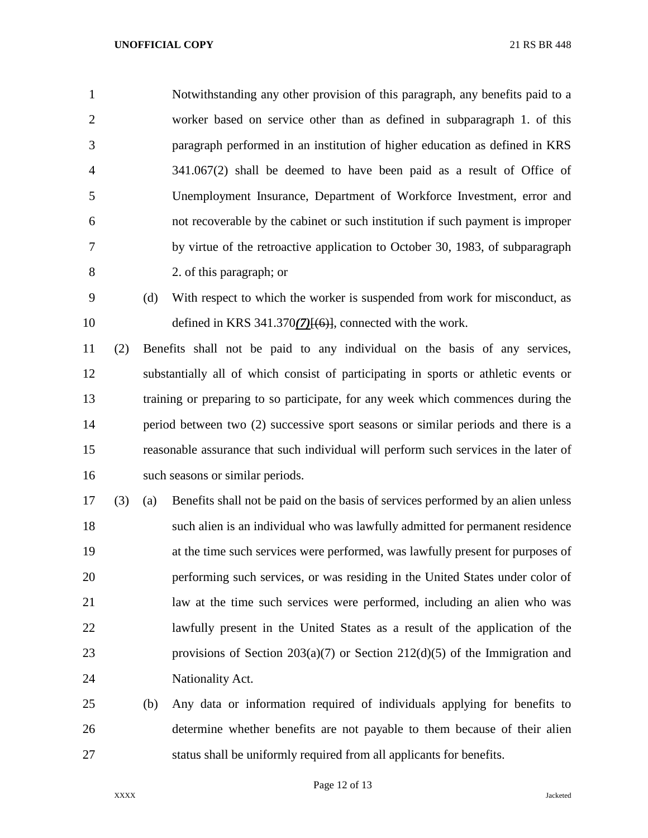Notwithstanding any other provision of this paragraph, any benefits paid to a worker based on service other than as defined in subparagraph 1. of this paragraph performed in an institution of higher education as defined in KRS 341.067(2) shall be deemed to have been paid as a result of Office of Unemployment Insurance, Department of Workforce Investment, error and not recoverable by the cabinet or such institution if such payment is improper by virtue of the retroactive application to October 30, 1983, of subparagraph 2. of this paragraph; or

 (d) With respect to which the worker is suspended from work for misconduct, as defined in KRS 341.370*(7)*[(6)], connected with the work.

 (2) Benefits shall not be paid to any individual on the basis of any services, substantially all of which consist of participating in sports or athletic events or training or preparing to so participate, for any week which commences during the period between two (2) successive sport seasons or similar periods and there is a reasonable assurance that such individual will perform such services in the later of such seasons or similar periods.

 (3) (a) Benefits shall not be paid on the basis of services performed by an alien unless such alien is an individual who was lawfully admitted for permanent residence at the time such services were performed, was lawfully present for purposes of performing such services, or was residing in the United States under color of law at the time such services were performed, including an alien who was lawfully present in the United States as a result of the application of the provisions of Section 203(a)(7) or Section 212(d)(5) of the Immigration and Nationality Act.

 (b) Any data or information required of individuals applying for benefits to determine whether benefits are not payable to them because of their alien status shall be uniformly required from all applicants for benefits.

Page 12 of 13